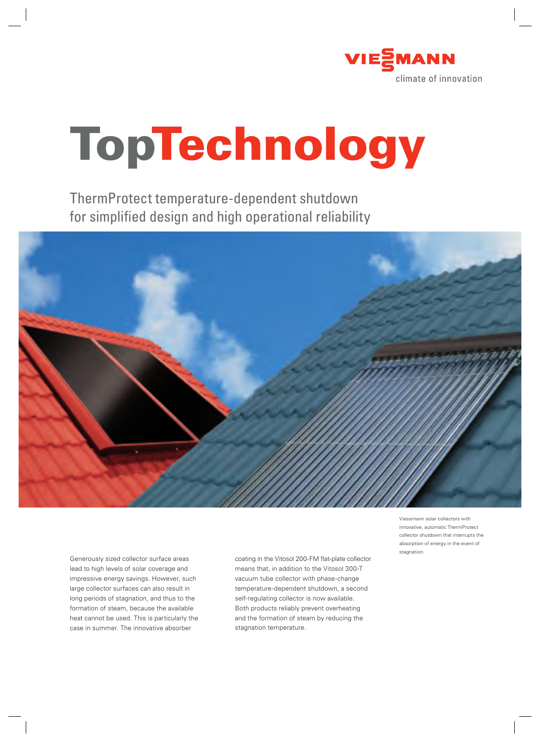

# **TopTechnology**

ThermProtect temperature-dependent shutdown for simplified design and high operational reliability



Generously sized collector surface areas lead to high levels of solar coverage and impressive energy savings. However, such large collector surfaces can also result in long periods of stagnation, and thus to the formation of steam, because the available heat cannot be used. This is particularly the case in summer. The innovative absorber

coating in the Vitosol 200-FM flat-plate collector means that, in addition to the Vitosol 300-T vacuum tube collector with phase-change temperature-dependent shutdown, a second self-regulating collector is now available. Both products reliably prevent overheating and the formation of steam by reducing the stagnation temperature.

Viessmann solar collectors with innovative, automatic ThermProtect collector shutdown that interrupts the absorption of energy in the event of stagnation.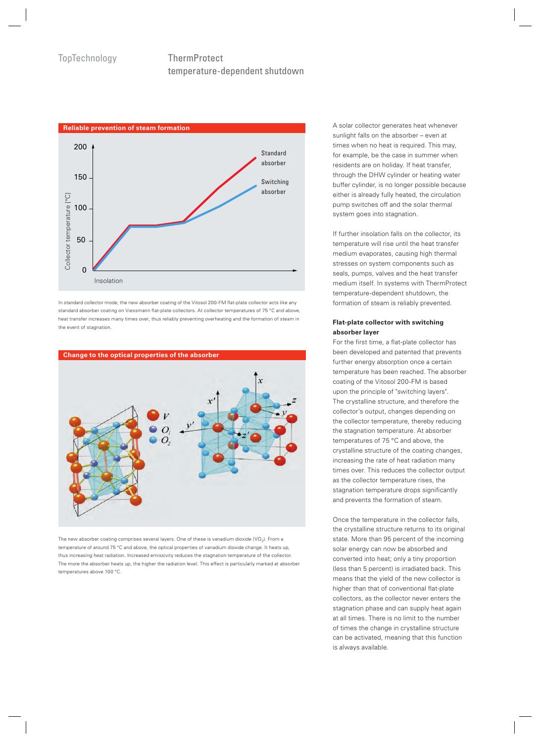## temperature-dependent shutdown



In standard collector mode, the new absorber coating of the Vitosol 200-FM flat-plate collector acts like any standard absorber coating on Viessmann flat-plate collectors. At collector temperatures of 75 °C and above, heat transfer increases many times over, thus reliably preventing overheating and the formation of steam in the event of stagnation.



The new absorber coating comprises several layers. One of these is vanadium dioxide (VO<sub>2</sub>). From a temperature of around 75 °C and above, the optical properties of vanadium dioxide change. It heats up, thus increasing heat radiation. Increased emissivity reduces the stagnation temperature of the collector. The more the absorber heats up, the higher the radiation level. This effect is particularly marked at absorber temperatures above 100 °C.

A solar collector generates heat whenever sunlight falls on the absorber – even at times when no heat is required. This may, for example, be the case in summer when residents are on holiday. If heat transfer, through the DHW cylinder or heating water buffer cylinder, is no longer possible because either is already fully heated, the circulation pump switches off and the solar thermal system goes into stagnation.

If further insolation falls on the collector, its temperature will rise until the heat transfer medium evaporates, causing high thermal stresses on system components such as seals, pumps, valves and the heat transfer medium itself. In systems with ThermProtect temperature-dependent shutdown, the formation of steam is reliably prevented.

#### **Flat-plate collector with switching absorber layer**

For the first time, a flat-plate collector has been developed and patented that prevents further energy absorption once a certain temperature has been reached. The absorber coating of the Vitosol 200-FM is based upon the principle of "switching layers". The crystalline structure, and therefore the collector's output, changes depending on the collector temperature, thereby reducing the stagnation temperature. At absorber temperatures of 75 °C and above, the crystalline structure of the coating changes, increasing the rate of heat radiation many times over. This reduces the collector output as the collector temperature rises, the stagnation temperature drops significantly and prevents the formation of steam.

Once the temperature in the collector falls, the crystalline structure returns to its original state. More than 95 percent of the incoming solar energy can now be absorbed and converted into heat; only a tiny proportion (less than 5 percent) is irradiated back. This means that the yield of the new collector is higher than that of conventional flat-plate collectors, as the collector never enters the stagnation phase and can supply heat again at all times. There is no limit to the number of times the change in crystalline structure can be activated, meaning that this function is always available.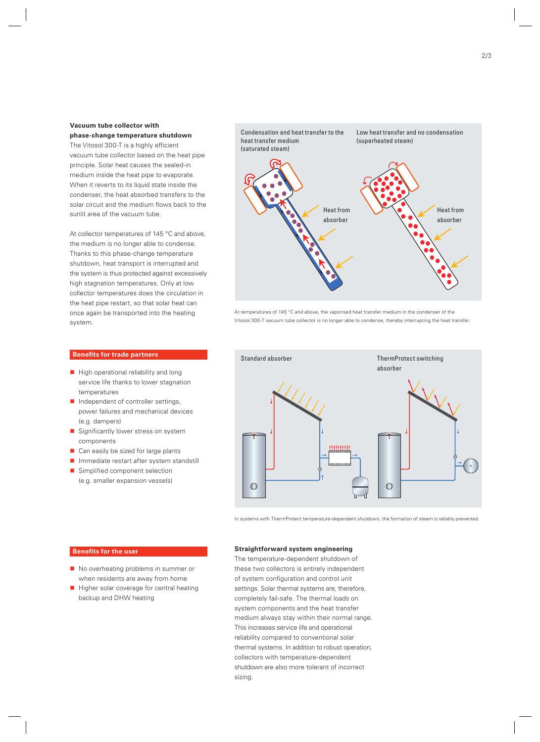#### **Vacuum tube collector with**

**phase-change temperature shutdown** The Vitosol 300-T is a highly efficient vacuum tube collector based on the heat pipe principle. Solar heat causes the sealed-in medium inside the heat pipe to evaporate. When it reverts to its liquid state inside the condenser, the heat absorbed transfers to the solar circuit and the medium flows back to the sunlit area of the vacuum tube.

At collector temperatures of 145 °C and above. the medium is no longer able to condense. Thanks to this phase-change temperature shutdown, heat transport is interrupted and the system is thus protected against excessively high stagnation temperatures. Only at low collector temperatures does the circulation in the heat pipe restart, so that solar heat can once again be transported into the heating system.

### Condensation and heat transfer to the heat transfer medium (saturated steam) Low heat transfer and no condensation (superheated steam) Heat from absorber Heat from absorber

At temperatures of 145 °C and above, the vaporised heat transfer medium in the condenser of the Vitosol 300-T vacuum tube collector is no longer able to condense, thereby interrupting the heat transfer.



- $\blacksquare$  High operational reliability and long service life thanks to lower stagnation temperatures
- $\blacksquare$  Independent of controller settings, power failures and mechanical devices (e.g. dampers)
- Significantly lower stress on system components
- Can easily be sized for large plants
- **Immediate restart after system standstill**
- Simplified component selection (e.g. smaller expansion vessels)



In systems with ThermProtect temperature-dependent shutdown, the formation of steam is reliably prevented.

#### **Benefits for the user**

- No overheating problems in summer or when residents are away from home
- $\blacksquare$  Higher solar coverage for central heating backup and DHW heating

#### **Straightforward system engineering**

The temperature-dependent shutdown of these two collectors is entirely independent of system configuration and control unit settings. Solar thermal systems are, therefore, completely fail-safe. The thermal loads on system components and the heat transfer medium always stay within their normal range. This increases service life and operational reliability compared to conventional solar thermal systems. In addition to robust operation, collectors with temperature-dependent shutdown are also more tolerant of incorrect sizing.